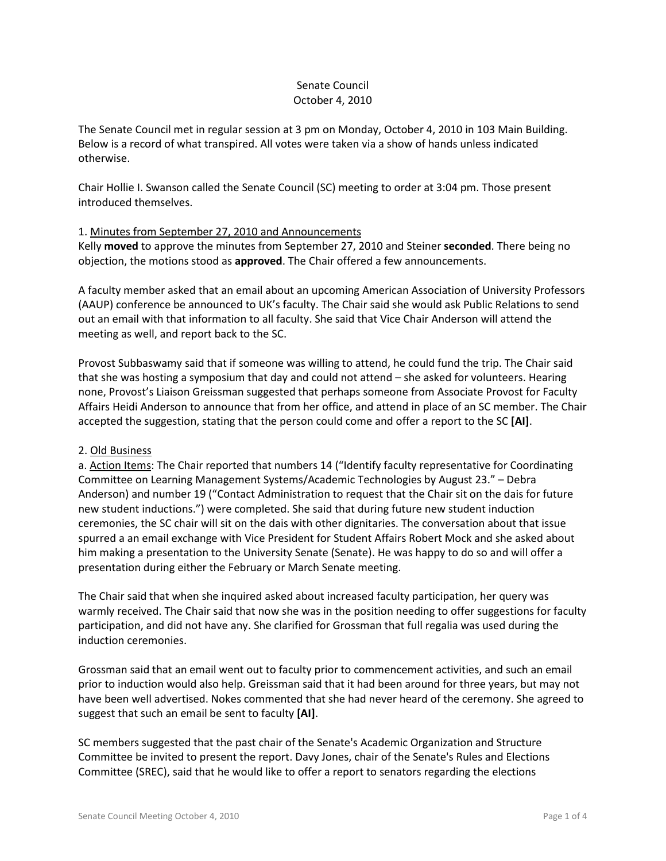# Senate Council October 4, 2010

The Senate Council met in regular session at 3 pm on Monday, October 4, 2010 in 103 Main Building. Below is a record of what transpired. All votes were taken via a show of hands unless indicated otherwise.

Chair Hollie I. Swanson called the Senate Council (SC) meeting to order at 3:04 pm. Those present introduced themselves.

# 1. Minutes from September 27, 2010 and Announcements

Kelly **moved** to approve the minutes from September 27, 2010 and Steiner **seconded**. There being no objection, the motions stood as **approved**. The Chair offered a few announcements.

A faculty member asked that an email about an upcoming American Association of University Professors (AAUP) conference be announced to UK's faculty. The Chair said she would ask Public Relations to send out an email with that information to all faculty. She said that Vice Chair Anderson will attend the meeting as well, and report back to the SC.

Provost Subbaswamy said that if someone was willing to attend, he could fund the trip. The Chair said that she was hosting a symposium that day and could not attend – she asked for volunteers. Hearing none, Provost's Liaison Greissman suggested that perhaps someone from Associate Provost for Faculty Affairs Heidi Anderson to announce that from her office, and attend in place of an SC member. The Chair accepted the suggestion, stating that the person could come and offer a report to the SC **[AI]**.

# 2. Old Business

a. Action Items: The Chair reported that numbers 14 ("Identify faculty representative for Coordinating Committee on Learning Management Systems/Academic Technologies by August 23." – Debra Anderson) and number 19 ("Contact Administration to request that the Chair sit on the dais for future new student inductions.") were completed. She said that during future new student induction ceremonies, the SC chair will sit on the dais with other dignitaries. The conversation about that issue spurred a an email exchange with Vice President for Student Affairs Robert Mock and she asked about him making a presentation to the University Senate (Senate). He was happy to do so and will offer a presentation during either the February or March Senate meeting.

The Chair said that when she inquired asked about increased faculty participation, her query was warmly received. The Chair said that now she was in the position needing to offer suggestions for faculty participation, and did not have any. She clarified for Grossman that full regalia was used during the induction ceremonies.

Grossman said that an email went out to faculty prior to commencement activities, and such an email prior to induction would also help. Greissman said that it had been around for three years, but may not have been well advertised. Nokes commented that she had never heard of the ceremony. She agreed to suggest that such an email be sent to faculty **[AI]**.

SC members suggested that the past chair of the Senate's Academic Organization and Structure Committee be invited to present the report. Davy Jones, chair of the Senate's Rules and Elections Committee (SREC), said that he would like to offer a report to senators regarding the elections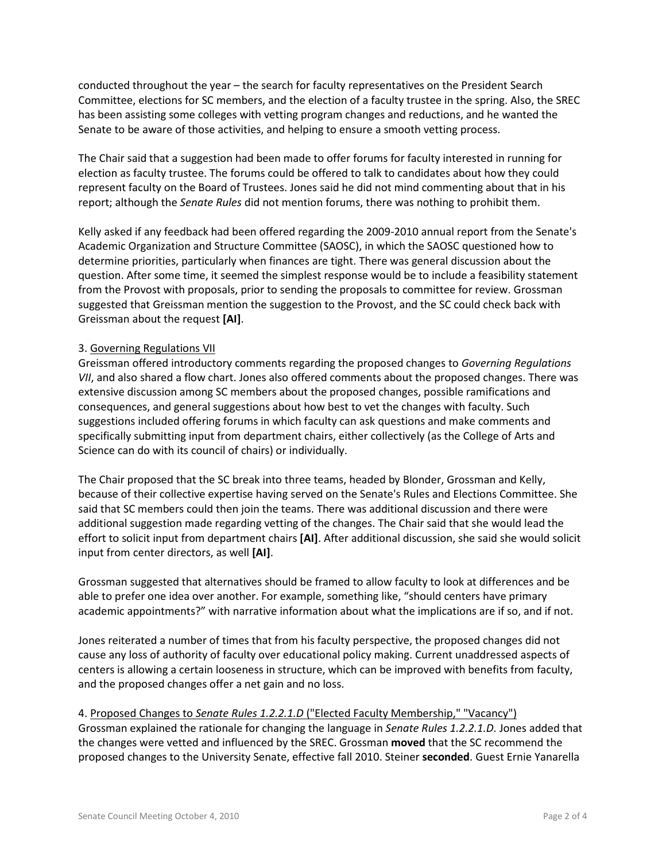conducted throughout the year – the search for faculty representatives on the President Search Committee, elections for SC members, and the election of a faculty trustee in the spring. Also, the SREC has been assisting some colleges with vetting program changes and reductions, and he wanted the Senate to be aware of those activities, and helping to ensure a smooth vetting process.

The Chair said that a suggestion had been made to offer forums for faculty interested in running for election as faculty trustee. The forums could be offered to talk to candidates about how they could represent faculty on the Board of Trustees. Jones said he did not mind commenting about that in his report; although the *Senate Rules* did not mention forums, there was nothing to prohibit them.

Kelly asked if any feedback had been offered regarding the 2009-2010 annual report from the Senate's Academic Organization and Structure Committee (SAOSC), in which the SAOSC questioned how to determine priorities, particularly when finances are tight. There was general discussion about the question. After some time, it seemed the simplest response would be to include a feasibility statement from the Provost with proposals, prior to sending the proposals to committee for review. Grossman suggested that Greissman mention the suggestion to the Provost, and the SC could check back with Greissman about the request **[AI]**.

#### 3. Governing Regulations VII

Greissman offered introductory comments regarding the proposed changes to *Governing Regulations VII*, and also shared a flow chart. Jones also offered comments about the proposed changes. There was extensive discussion among SC members about the proposed changes, possible ramifications and consequences, and general suggestions about how best to vet the changes with faculty. Such suggestions included offering forums in which faculty can ask questions and make comments and specifically submitting input from department chairs, either collectively (as the College of Arts and Science can do with its council of chairs) or individually.

The Chair proposed that the SC break into three teams, headed by Blonder, Grossman and Kelly, because of their collective expertise having served on the Senate's Rules and Elections Committee. She said that SC members could then join the teams. There was additional discussion and there were additional suggestion made regarding vetting of the changes. The Chair said that she would lead the effort to solicit input from department chairs **[AI]**. After additional discussion, she said she would solicit input from center directors, as well **[AI]**.

Grossman suggested that alternatives should be framed to allow faculty to look at differences and be able to prefer one idea over another. For example, something like, "should centers have primary academic appointments?" with narrative information about what the implications are if so, and if not.

Jones reiterated a number of times that from his faculty perspective, the proposed changes did not cause any loss of authority of faculty over educational policy making. Current unaddressed aspects of centers is allowing a certain looseness in structure, which can be improved with benefits from faculty, and the proposed changes offer a net gain and no loss.

# 4. Proposed Changes to *Senate Rules 1.2.2.1.D* ("Elected Faculty Membership," "Vacancy")

Grossman explained the rationale for changing the language in *Senate Rules 1.2.2.1.D.* Jones added that the changes were vetted and influenced by the SREC. Grossman **moved** that the SC recommend the proposed changes to the University Senate, effective fall 2010. Steiner **seconded**. Guest Ernie Yanarella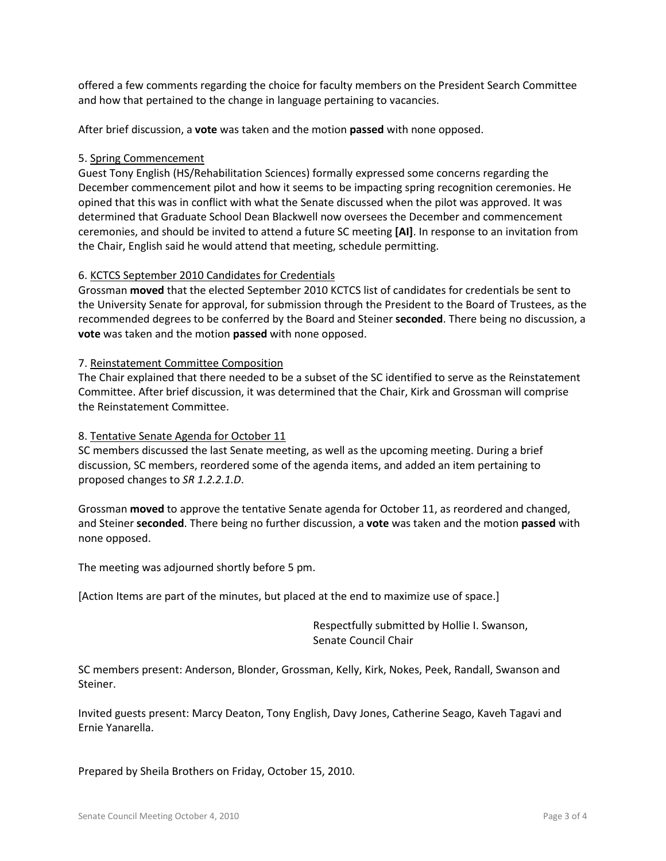offered a few comments regarding the choice for faculty members on the President Search Committee and how that pertained to the change in language pertaining to vacancies.

After brief discussion, a **vote** was taken and the motion **passed** with none opposed.

### 5. Spring Commencement

Guest Tony English (HS/Rehabilitation Sciences) formally expressed some concerns regarding the December commencement pilot and how it seems to be impacting spring recognition ceremonies. He opined that this was in conflict with what the Senate discussed when the pilot was approved. It was determined that Graduate School Dean Blackwell now oversees the December and commencement ceremonies, and should be invited to attend a future SC meeting **[AI]**. In response to an invitation from the Chair, English said he would attend that meeting, schedule permitting.

#### 6. KCTCS September 2010 Candidates for Credentials

Grossman **moved** that the elected September 2010 KCTCS list of candidates for credentials be sent to the University Senate for approval, for submission through the President to the Board of Trustees, as the recommended degrees to be conferred by the Board and Steiner **seconded**. There being no discussion, a **vote** was taken and the motion **passed** with none opposed.

#### 7. Reinstatement Committee Composition

The Chair explained that there needed to be a subset of the SC identified to serve as the Reinstatement Committee. After brief discussion, it was determined that the Chair, Kirk and Grossman will comprise the Reinstatement Committee.

### 8. Tentative Senate Agenda for October 11

SC members discussed the last Senate meeting, as well as the upcoming meeting. During a brief discussion, SC members, reordered some of the agenda items, and added an item pertaining to proposed changes to *SR 1.2.2.1.D*.

Grossman **moved** to approve the tentative Senate agenda for October 11, as reordered and changed, and Steiner **seconded**. There being no further discussion, a **vote** was taken and the motion **passed** with none opposed.

The meeting was adjourned shortly before 5 pm.

[Action Items are part of the minutes, but placed at the end to maximize use of space.]

Respectfully submitted by Hollie I. Swanson, Senate Council Chair

SC members present: Anderson, Blonder, Grossman, Kelly, Kirk, Nokes, Peek, Randall, Swanson and Steiner.

Invited guests present: Marcy Deaton, Tony English, Davy Jones, Catherine Seago, Kaveh Tagavi and Ernie Yanarella.

Prepared by Sheila Brothers on Friday, October 15, 2010.